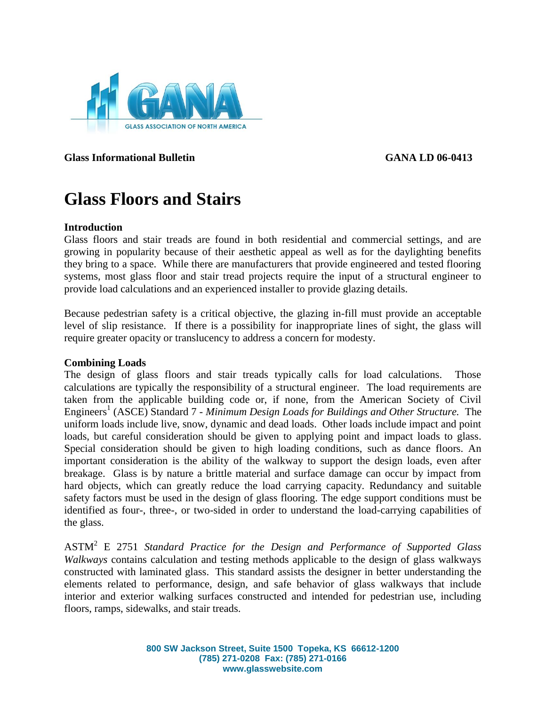

**Glass Informational Bulletin GANA LD 06-0413**

# **Glass Floors and Stairs**

#### **Introduction**

Glass floors and stair treads are found in both residential and commercial settings, and are growing in popularity because of their aesthetic appeal as well as for the daylighting benefits they bring to a space. While there are manufacturers that provide engineered and tested flooring systems, most glass floor and stair tread projects require the input of a structural engineer to provide load calculations and an experienced installer to provide glazing details.

Because pedestrian safety is a critical objective, the glazing in-fill must provide an acceptable level of slip resistance. If there is a possibility for inappropriate lines of sight, the glass will require greater opacity or translucency to address a concern for modesty.

#### **Combining Loads**

The design of glass floors and stair treads typically calls for load calculations. Those calculations are typically the responsibility of a structural engineer. The load requirements are taken from the applicable building code or, if none, from the American Society of Civil Engineers<sup>1</sup> (ASCE) Standard 7 - *Minimum Design Loads for Buildings and Other Structure.* The uniform loads include live, snow, dynamic and dead loads. Other loads include impact and point loads, but careful consideration should be given to applying point and impact loads to glass. Special consideration should be given to high loading conditions, such as dance floors. An important consideration is the ability of the walkway to support the design loads, even after breakage. Glass is by nature a brittle material and surface damage can occur by impact from hard objects, which can greatly reduce the load carrying capacity. Redundancy and suitable safety factors must be used in the design of glass flooring. The edge support conditions must be identified as four-, three-, or two-sided in order to understand the load-carrying capabilities of the glass.

ASTM<sup>2</sup> E 2751 *Standard Practice for the Design and Performance of Supported Glass Walkways* contains calculation and testing methods applicable to the design of glass walkways constructed with laminated glass. This standard assists the designer in better understanding the elements related to performance, design, and safe behavior of glass walkways that include interior and exterior walking surfaces constructed and intended for pedestrian use, including floors, ramps, sidewalks, and stair treads.

> **800 SW Jackson Street, Suite 1500 Topeka, KS 66612-1200 (785) 271-0208 Fax: (785) 271-0166 www.glasswebsite.com**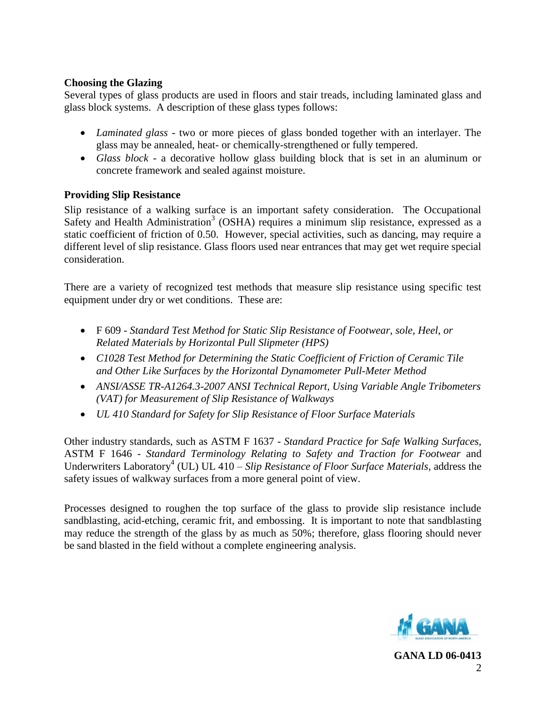## **Choosing the Glazing**

Several types of glass products are used in floors and stair treads, including laminated glass and glass block systems. A description of these glass types follows:

- *Laminated glass* two or more pieces of glass bonded together with an interlayer. The glass may be annealed, heat- or chemically-strengthened or fully tempered.
- *Glass block* a decorative hollow glass building block that is set in an aluminum or concrete framework and sealed against moisture.

# **Providing Slip Resistance**

Slip resistance of a walking surface is an important safety consideration. The Occupational Safety and Health Administration<sup>3</sup> (OSHA) requires a minimum slip resistance, expressed as a static coefficient of friction of 0.50. However, special activities, such as dancing, may require a different level of slip resistance. Glass floors used near entrances that may get wet require special consideration.

There are a variety of recognized test methods that measure slip resistance using specific test equipment under dry or wet conditions. These are:

- F 609 *Standard Test Method for Static Slip Resistance of Footwear, sole, Heel, or Related Materials by Horizontal Pull Slipmeter (HPS)*
- *C1028 Test Method for Determining the Static Coefficient of Friction of Ceramic Tile and Other Like Surfaces by the Horizontal Dynamometer Pull-Meter Method*
- *ANSI/ASSE TR-A1264.3-2007 ANSI Technical Report, Using Variable Angle Tribometers (VAT) for Measurement of Slip Resistance of Walkways*
- *UL 410 Standard for Safety for Slip Resistance of Floor Surface Materials*

Other industry standards, such as ASTM F 1637 - *Standard Practice for Safe Walking Surfaces,*  ASTM F 1646 - *Standard Terminology Relating to Safety and Traction for Footwear* and Underwriters Laboratory<sup>4</sup> (UL) UL 410 – *Slip Resistance of Floor Surface Materials*, address the safety issues of walkway surfaces from a more general point of view.

Processes designed to roughen the top surface of the glass to provide slip resistance include sandblasting, acid-etching, ceramic frit, and embossing. It is important to note that sandblasting may reduce the strength of the glass by as much as 50%; therefore, glass flooring should never be sand blasted in the field without a complete engineering analysis.

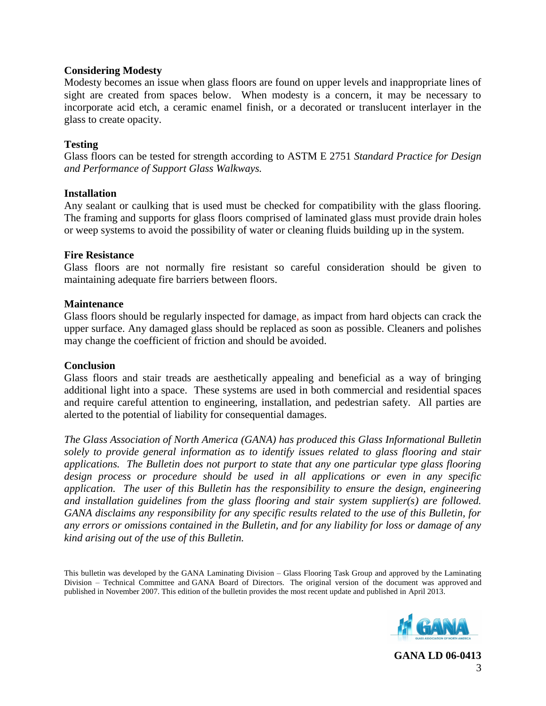#### **Considering Modesty**

Modesty becomes an issue when glass floors are found on upper levels and inappropriate lines of sight are created from spaces below. When modesty is a concern, it may be necessary to incorporate acid etch, a ceramic enamel finish, or a decorated or translucent interlayer in the glass to create opacity.

### **Testing**

Glass floors can be tested for strength according to ASTM E 2751 *Standard Practice for Design and Performance of Support Glass Walkways.*

#### **Installation**

Any sealant or caulking that is used must be checked for compatibility with the glass flooring. The framing and supports for glass floors comprised of laminated glass must provide drain holes or weep systems to avoid the possibility of water or cleaning fluids building up in the system.

#### **Fire Resistance**

Glass floors are not normally fire resistant so careful consideration should be given to maintaining adequate fire barriers between floors.

### **Maintenance**

Glass floors should be regularly inspected for damage, as impact from hard objects can crack the upper surface. Any damaged glass should be replaced as soon as possible. Cleaners and polishes may change the coefficient of friction and should be avoided.

#### **Conclusion**

Glass floors and stair treads are aesthetically appealing and beneficial as a way of bringing additional light into a space. These systems are used in both commercial and residential spaces and require careful attention to engineering, installation, and pedestrian safety. All parties are alerted to the potential of liability for consequential damages.

*The Glass Association of North America (GANA) has produced this Glass Informational Bulletin solely to provide general information as to identify issues related to glass flooring and stair applications. The Bulletin does not purport to state that any one particular type glass flooring design process or procedure should be used in all applications or even in any specific application. The user of this Bulletin has the responsibility to ensure the design, engineering and installation guidelines from the glass flooring and stair system supplier(s) are followed. GANA disclaims any responsibility for any specific results related to the use of this Bulletin, for any errors or omissions contained in the Bulletin, and for any liability for loss or damage of any kind arising out of the use of this Bulletin.*

This bulletin was developed by the GANA Laminating Division – Glass Flooring Task Group and approved by the Laminating Division – Technical Committee and GANA Board of Directors. The original version of the document was approved and published in November 2007. This edition of the bulletin provides the most recent update and published in April 2013.